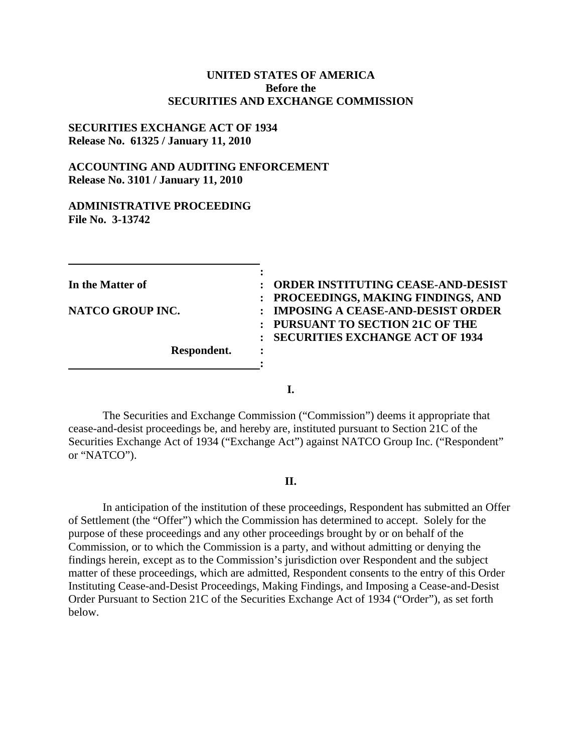#### **UNITED STATES OF AMERICA Before the SECURITIES AND EXCHANGE COMMISSION**

#### **SECURITIES EXCHANGE ACT OF 1934 Release No. 61325 / January 11, 2010**

## **ACCOUNTING AND AUDITING ENFORCEMENT Release No. 3101 / January 11, 2010**

#### **ADMINISTRATIVE PROCEEDING File No. 3-13742**

**Respondent. :** 

**In the Matter of : ORDER INSTITUTING CEASE-AND-DESIST : PROCEEDINGS, MAKING FINDINGS, AND NATCO GROUP INC. : IMPOSING A CEASE-AND-DESIST ORDER : PURSUANT TO SECTION 21C OF THE : SECURITIES EXCHANGE ACT OF 1934** 

**I.** 

**:** 

**:** 

The Securities and Exchange Commission ("Commission") deems it appropriate that cease-and-desist proceedings be, and hereby are, instituted pursuant to Section 21C of the Securities Exchange Act of 1934 ("Exchange Act") against NATCO Group Inc. ("Respondent" or "NATCO").

#### **II.**

In anticipation of the institution of these proceedings, Respondent has submitted an Offer of Settlement (the "Offer") which the Commission has determined to accept. Solely for the purpose of these proceedings and any other proceedings brought by or on behalf of the Commission, or to which the Commission is a party, and without admitting or denying the findings herein, except as to the Commission's jurisdiction over Respondent and the subject matter of these proceedings, which are admitted, Respondent consents to the entry of this Order Instituting Cease-and-Desist Proceedings, Making Findings, and Imposing a Cease-and-Desist Order Pursuant to Section 21C of the Securities Exchange Act of 1934 ("Order"), as set forth below.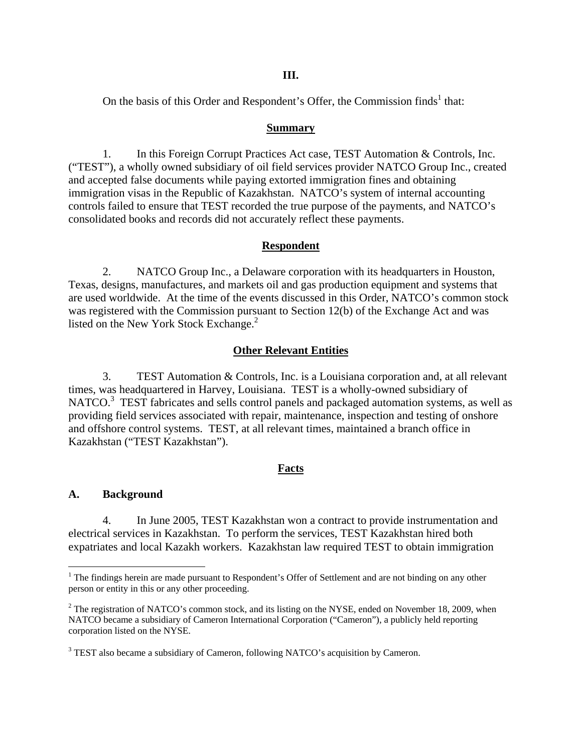On the basis of this Order and Respondent's Offer, the Commission finds<sup>1</sup> that:

#### **Summary**

1. In this Foreign Corrupt Practices Act case, TEST Automation & Controls, Inc. ("TEST"), a wholly owned subsidiary of oil field services provider NATCO Group Inc., created and accepted false documents while paying extorted immigration fines and obtaining immigration visas in the Republic of Kazakhstan. NATCO's system of internal accounting controls failed to ensure that TEST recorded the true purpose of the payments, and NATCO's consolidated books and records did not accurately reflect these payments.

### **Respondent**

2. NATCO Group Inc., a Delaware corporation with its headquarters in Houston, Texas, designs, manufactures, and markets oil and gas production equipment and systems that are used worldwide. At the time of the events discussed in this Order, NATCO's common stock was registered with the Commission pursuant to Section 12(b) of the Exchange Act and was listed on the New York Stock Exchange.<sup>2</sup>

### **Other Relevant Entities**

3. TEST Automation & Controls, Inc. is a Louisiana corporation and, at all relevant times, was headquartered in Harvey, Louisiana. TEST is a wholly-owned subsidiary of NATCO.<sup>3</sup> TEST fabricates and sells control panels and packaged automation systems, as well as providing field services associated with repair, maintenance, inspection and testing of onshore and offshore control systems. TEST, at all relevant times, maintained a branch office in Kazakhstan ("TEST Kazakhstan").

### **Facts**

### **A. Background**

 $\overline{a}$ 

4. In June 2005, TEST Kazakhstan won a contract to provide instrumentation and electrical services in Kazakhstan. To perform the services, TEST Kazakhstan hired both expatriates and local Kazakh workers. Kazakhstan law required TEST to obtain immigration

<sup>&</sup>lt;sup>1</sup> The findings herein are made pursuant to Respondent's Offer of Settlement and are not binding on any other person or entity in this or any other proceeding.

 NATCO became a subsidiary of Cameron International Corporation ("Cameron"), a publicly held reporting  $2^2$  The registration of NATCO's common stock, and its listing on the NYSE, ended on November 18, 2009, when corporation listed on the NYSE.

<sup>&</sup>lt;sup>3</sup> TEST also became a subsidiary of Cameron, following NATCO's acquisition by Cameron.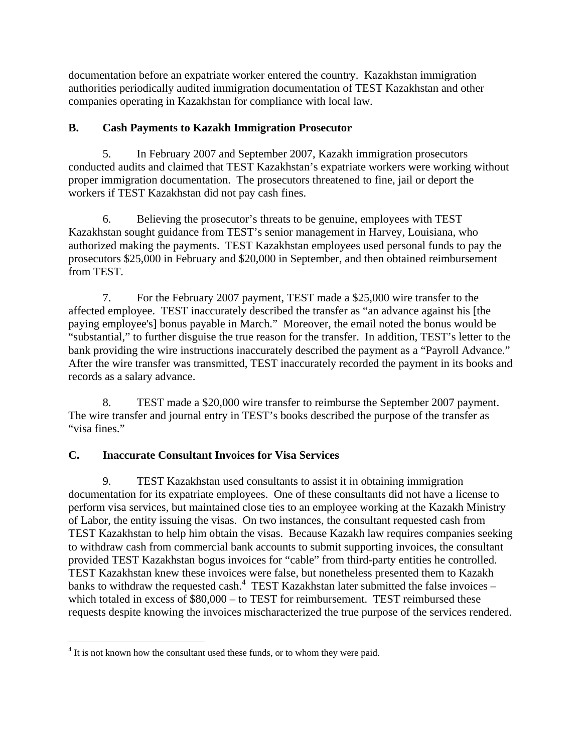documentation before an expatriate worker entered the country. Kazakhstan immigration authorities periodically audited immigration documentation of TEST Kazakhstan and other companies operating in Kazakhstan for compliance with local law.

## **B. Cash Payments to Kazakh Immigration Prosecutor**

5. In February 2007 and September 2007, Kazakh immigration prosecutors conducted audits and claimed that TEST Kazakhstan's expatriate workers were working without proper immigration documentation. The prosecutors threatened to fine, jail or deport the workers if TEST Kazakhstan did not pay cash fines.

6. Believing the prosecutor's threats to be genuine, employees with TEST Kazakhstan sought guidance from TEST's senior management in Harvey, Louisiana, who authorized making the payments. TEST Kazakhstan employees used personal funds to pay the prosecutors \$25,000 in February and \$20,000 in September, and then obtained reimbursement from TEST.

7. For the February 2007 payment, TEST made a \$25,000 wire transfer to the affected employee. TEST inaccurately described the transfer as "an advance against his [the paying employee's] bonus payable in March." Moreover, the email noted the bonus would be "substantial," to further disguise the true reason for the transfer. In addition, TEST's letter to the bank providing the wire instructions inaccurately described the payment as a "Payroll Advance." After the wire transfer was transmitted, TEST inaccurately recorded the payment in its books and records as a salary advance.

8. TEST made a \$20,000 wire transfer to reimburse the September 2007 payment. The wire transfer and journal entry in TEST's books described the purpose of the transfer as "visa fines."

# **C. Inaccurate Consultant Invoices for Visa Services**

9. TEST Kazakhstan used consultants to assist it in obtaining immigration documentation for its expatriate employees. One of these consultants did not have a license to perform visa services, but maintained close ties to an employee working at the Kazakh Ministry of Labor, the entity issuing the visas. On two instances, the consultant requested cash from TEST Kazakhstan to help him obtain the visas. Because Kazakh law requires companies seeking to withdraw cash from commercial bank accounts to submit supporting invoices, the consultant provided TEST Kazakhstan bogus invoices for "cable" from third-party entities he controlled. TEST Kazakhstan knew these invoices were false, but nonetheless presented them to Kazakh banks to withdraw the requested cash.<sup>4</sup> TEST Kazakhstan later submitted the false invoices – which totaled in excess of  $$80,000 -$  to TEST for reimbursement. TEST reimbursed these requests despite knowing the invoices mischaracterized the true purpose of the services rendered.

<sup>1</sup> <sup>4</sup> It is not known how the consultant used these funds, or to whom they were paid.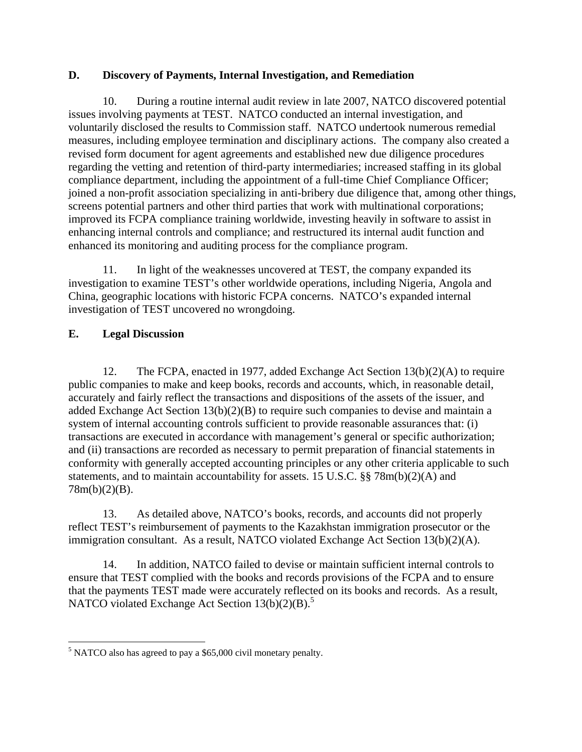## **D. Discovery of Payments, Internal Investigation, and Remediation**

10. During a routine internal audit review in late 2007, NATCO discovered potential issues involving payments at TEST. NATCO conducted an internal investigation, and voluntarily disclosed the results to Commission staff. NATCO undertook numerous remedial measures, including employee termination and disciplinary actions. The company also created a revised form document for agent agreements and established new due diligence procedures regarding the vetting and retention of third-party intermediaries; increased staffing in its global compliance department, including the appointment of a full-time Chief Compliance Officer; joined a non-profit association specializing in anti-bribery due diligence that, among other things, screens potential partners and other third parties that work with multinational corporations; improved its FCPA compliance training worldwide, investing heavily in software to assist in enhancing internal controls and compliance; and restructured its internal audit function and enhanced its monitoring and auditing process for the compliance program.

11. In light of the weaknesses uncovered at TEST, the company expanded its investigation to examine TEST's other worldwide operations, including Nigeria, Angola and China, geographic locations with historic FCPA concerns. NATCO's expanded internal investigation of TEST uncovered no wrongdoing.

# **E. Legal Discussion**

12. The FCPA, enacted in 1977, added Exchange Act Section 13(b)(2)(A) to require public companies to make and keep books, records and accounts, which, in reasonable detail, accurately and fairly reflect the transactions and dispositions of the assets of the issuer, and added Exchange Act Section 13(b)(2)(B) to require such companies to devise and maintain a system of internal accounting controls sufficient to provide reasonable assurances that: (i) transactions are executed in accordance with management's general or specific authorization; and (ii) transactions are recorded as necessary to permit preparation of financial statements in conformity with generally accepted accounting principles or any other criteria applicable to such statements, and to maintain accountability for assets. 15 U.S.C. §§ 78m(b)(2)(A) and 78m(b)(2)(B).

13. As detailed above, NATCO's books, records, and accounts did not properly reflect TEST's reimbursement of payments to the Kazakhstan immigration prosecutor or the immigration consultant. As a result, NATCO violated Exchange Act Section 13(b)(2)(A).

NATCO violated Exchange Act Section  $13(b)(2)(B)$ .<sup>5</sup> 14. In addition, NATCO failed to devise or maintain sufficient internal controls to ensure that TEST complied with the books and records provisions of the FCPA and to ensure that the payments TEST made were accurately reflected on its books and records. As a result,

 $\overline{a}$  $<sup>5</sup>$  NATCO also has agreed to pay a \$65,000 civil monetary penalty.</sup>